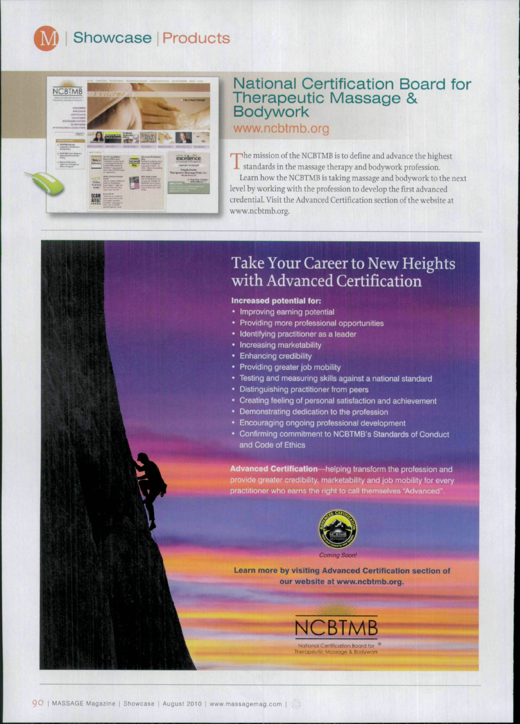Showcase | Products



## National Certification Board for Therapeutic Massage & **Bodywork**

www.ncbtmb.org

The mission of the NCBTMB is to define and advance the highest standards in the massage therapy and bodywork profession. I standards in the massage therapy and bodywork profession.

Learn how the NCBTMB is taking massage and bodywork to the next level by working with the profession to develop the first advanced credential. Visit the Advanced Certification section of the website at www,ncbtmb,org.

## Take Your Career to New Heights with Advanced Certification

## **Increased potential for:**

- Improving earning potential
- Providing more professional opportunities
- Identifying practitioner as a leader
- Increasing marketability
- Enhancing credibility
- Providing greater job mobility
- Testing and measuring skills against a national standard
- Distinguishing practitioner from peers
- Creating feeling of personal satisfaction and achievement
- Demonstrating dedication to the profession
- Encouraging ongoing professional development
- Confirming commitment to NCBTMB's Standards of Conduct and Code of Ethics

**Advanced Certification—**helping transform the profession and provide greater credibility, marketability and job mobility for every practitioner who earns the right to call themselves "Advanced



**Learn more by visiting Advanced Certification section of our website at www.ncbtmb.org.**

> NCBTMB National Certíficaíion Board fof erapeutic Massage & Bodywo